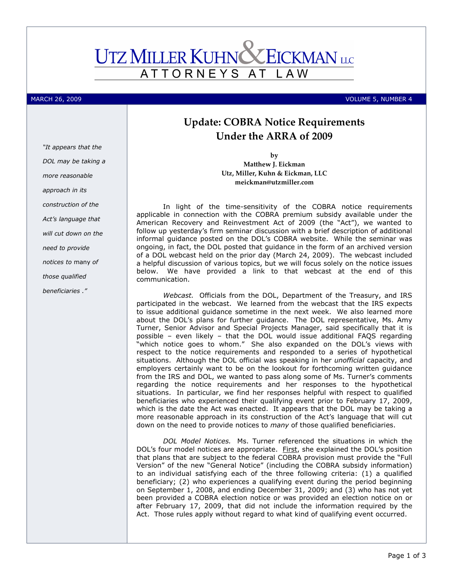## **UTZ MILLER KUHNC EICKMAN** LLC ATTORNEYS AT L A W

MARCH 26, 2009 VOLUME 5, NUMBER 4

# Update: COBRA Notice Requirements Under the ARRA of 2009

by Matthew J. Eickman Utz, Miller, Kuhn & Eickman, LLC meickman@utzmiller.com

In light of the time-sensitivity of the COBRA notice requirements applicable in connection with the COBRA premium subsidy available under the American Recovery and Reinvestment Act of 2009 (the "Act"), we wanted to follow up yesterday's firm seminar discussion with a brief description of additional informal guidance posted on the DOL's COBRA website. While the seminar was ongoing, in fact, the DOL posted that guidance in the form of an archived version of a DOL webcast held on the prior day (March 24, 2009). The webcast included a helpful discussion of various topics, but we will focus solely on the notice issues below. We have provided a link to that webcast at the end of this communication.

Webcast. Officials from the DOL, Department of the Treasury, and IRS participated in the webcast. We learned from the webcast that the IRS expects to issue additional guidance sometime in the next week. We also learned more about the DOL's plans for further guidance. The DOL representative, Ms. Amy Turner, Senior Advisor and Special Projects Manager, said specifically that it is possible – even likely – that the DOL would issue additional FAQS regarding "which notice goes to whom." She also expanded on the DOL's views with respect to the notice requirements and responded to a series of hypothetical situations. Although the DOL official was speaking in her *unofficial* capacity, and employers certainly want to be on the lookout for forthcoming written guidance from the IRS and DOL, we wanted to pass along some of Ms. Turner's comments regarding the notice requirements and her responses to the hypothetical situations. In particular, we find her responses helpful with respect to qualified beneficiaries who experienced their qualifying event prior to February 17, 2009, which is the date the Act was enacted. It appears that the DOL may be taking a more reasonable approach in its construction of the Act's language that will cut down on the need to provide notices to *many* of those qualified beneficiaries.

DOL Model Notices. Ms. Turner referenced the situations in which the DOL's four model notices are appropriate. First, she explained the DOL's position that plans that are subject to the federal COBRA provision must provide the "Full Version" of the new "General Notice" (including the COBRA subsidy information) to an individual satisfying each of the three following criteria: (1) a qualified beneficiary; (2) who experiences a qualifying event during the period beginning on September 1, 2008, and ending December 31, 2009; and (3) who has not yet been provided a COBRA election notice or was provided an election notice on or after February 17, 2009, that did not include the information required by the Act. Those rules apply without regard to what kind of qualifying event occurred.

DOL may be taking a more reasonable approach in its construction of the Act's language that will cut down on the need to provide notices to many of those qualified beneficiaries ."

"It appears that the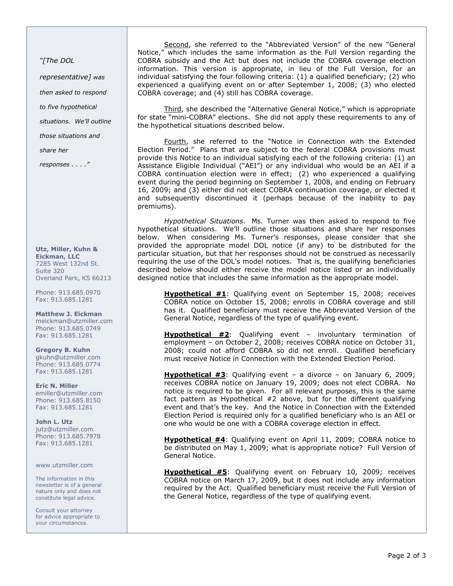"[The DOL

representative] was

then asked to respond

to five hypothetical

situations. We'll outline

those situations and

share her

responses . . . ."

#### Utz, Miller, Kuhn & Eickman, LLC 7285 West 132nd St. Suite 320 Overland Park, KS 66213

Phone: 913.685.0970 Fax: 913.685.1281

Matthew J. Eickman meickman@utzmiller.com Phone: 913.685.0749 Fax: 913.685.1281

Gregory B. Kuhn gkuhn@utzmiller.com Phone: 913.685.0774 Fax: 913.685.1281

Eric N. Miller emiller@utzmiller.com Phone: 913.685.8150 Fax: 913.685.1281

John L. Utz jutz@utzmiller.com Phone: 913.685.7978 Fax: 913.685.1281

#### www.utzmiller.com

The information in this newsletter is of a general nature only and does not constitute legal advice.

Consult your attorney for advice appropriate to your circumstances.

Second, she referred to the "Abbreviated Version" of the new "General Notice," which includes the same information as the Full Version regarding the COBRA subsidy and the Act but does not include the COBRA coverage election information. This version is appropriate, in lieu of the Full Version, for an individual satisfying the four following criteria: (1) a qualified beneficiary; (2) who experienced a qualifying event on or after September 1, 2008; (3) who elected COBRA coverage; and (4) still has COBRA coverage.

Third, she described the "Alternative General Notice," which is appropriate for state "mini-COBRA" elections. She did not apply these requirements to any of the hypothetical situations described below.

Fourth, she referred to the "Notice in Connection with the Extended Election Period." Plans that are subject to the federal COBRA provisions must provide this Notice to an individual satisfying each of the following criteria: (1) an Assistance Eligible Individual ("AEI") or any individual who would be an AEI if a COBRA continuation election were in effect; (2) who experienced a qualifying event during the period beginning on September 1, 2008, and ending on February 16, 2009; and (3) either did not elect COBRA continuation coverage, or elected it and subsequently discontinued it (perhaps because of the inability to pay premiums).

Hypothetical Situations. Ms. Turner was then asked to respond to five hypothetical situations. We'll outline those situations and share her responses below. When considering Ms. Turner's responses, please consider that she provided the appropriate model DOL notice (if any) to be distributed for the particular situation, but that her responses should not be construed as necessarily requiring the use of the DOL's model notices. That is, the qualifying beneficiaries described below should either receive the model notice listed or an individually designed notice that includes the same information as the appropriate model.

Hypothetical #1: Qualifying event on September 15, 2008; receives COBRA notice on October 15, 2008; enrolls in COBRA coverage and still has it. Qualified beneficiary must receive the Abbreviated Version of the General Notice, regardless of the type of qualifying event.

Hypothetical #2: Qualifying event - involuntary termination of employment – on October 2, 2008; receives COBRA notice on October 31, 2008; could not afford COBRA so did not enroll. Qualified beneficiary must receive Notice in Connection with the Extended Election Period.

Hypothetical #3: Qualifying event – a divorce – on January 6, 2009; receives COBRA notice on January 19, 2009; does not elect COBRA. No notice is required to be given. For all relevant purposes, this is the same fact pattern as Hypothetical #2 above, but for the different qualifying event and that's the key. And the Notice in Connection with the Extended Election Period is required only for a qualified beneficiary who is an AEI or one who would be one with a COBRA coverage election in effect.

Hypothetical #4: Qualifying event on April 11, 2009; COBRA notice to be distributed on May 1, 2009; what is appropriate notice? Full Version of General Notice.

Hypothetical #5: Qualifying event on February 10, 2009; receives COBRA notice on March 17, 2009, but it does not include any information required by the Act. Qualified beneficiary must receive the Full Version of the General Notice, regardless of the type of qualifying event.